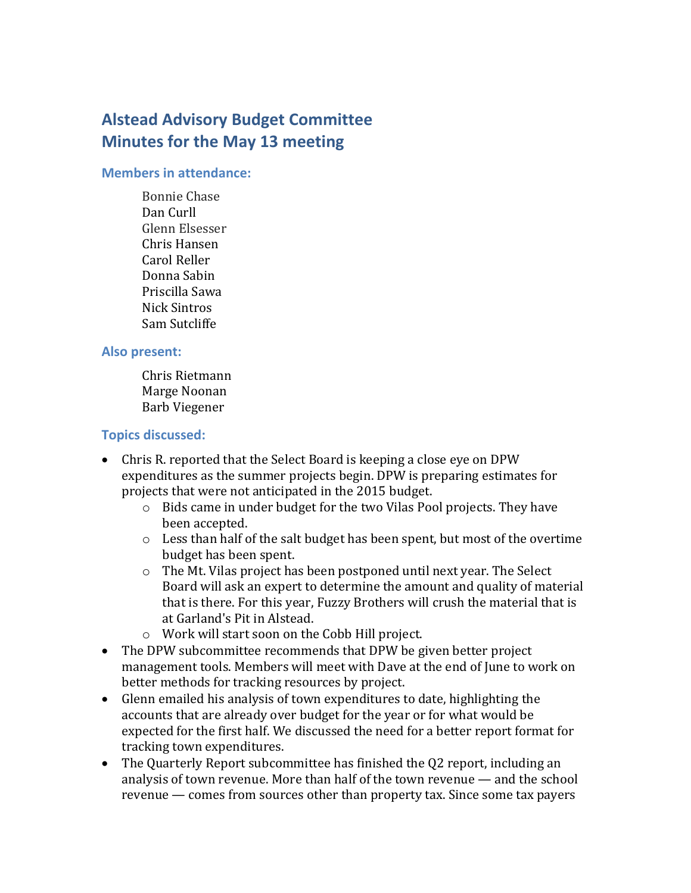# **Alstead Advisory Budget Committee Minutes for the May 13 meeting**

#### **Members in attendance:**

Bonnie Chase Dan Curll Glenn Elsesser Chris Hansen Carol Reller Donna Sabin Priscilla Sawa Nick Sintros Sam Sutcliffe

#### **Also present:**

Chris Rietmann Marge Noonan Barb Viegener

## **Topics discussed:**

- Chris R. reported that the Select Board is keeping a close eye on DPW expenditures as the summer projects begin. DPW is preparing estimates for projects that were not anticipated in the 2015 budget.
	- o Bids came in under budget for the two Vilas Pool projects. They have been accepted.
	- o Less than half of the salt budget has been spent, but most of the overtime budget has been spent.
	- o The Mt. Vilas project has been postponed until next year. The Select Board will ask an expert to determine the amount and quality of material that is there. For this year, Fuzzy Brothers will crush the material that is at Garland's Pit in Alstead.
	- o Work will start soon on the Cobb Hill project.
- The DPW subcommittee recommends that DPW be given better project management tools. Members will meet with Dave at the end of June to work on better methods for tracking resources by project.
- Glenn emailed his analysis of town expenditures to date, highlighting the accounts that are already over budget for the year or for what would be expected for the first half. We discussed the need for a better report format for tracking town expenditures.
- The Quarterly Report subcommittee has finished the Q2 report, including an analysis of town revenue. More than half of the town revenue — and the school revenue — comes from sources other than property tax. Since some tax payers